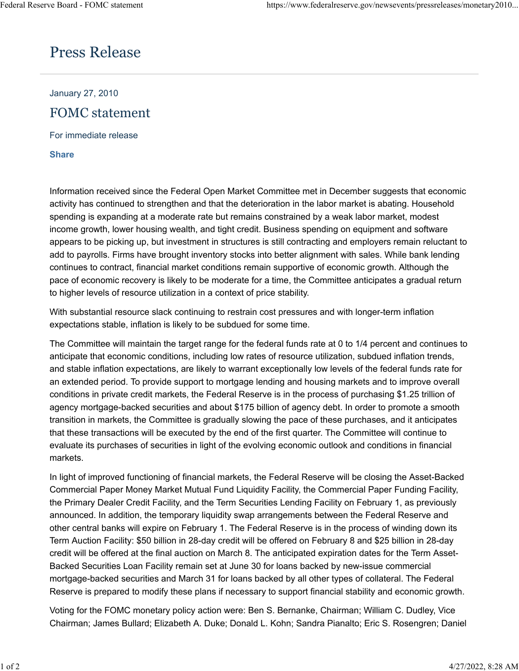## Press Release

January 27, 2010 FOMC statement

For immediate release

**[Share](https://www.federalreserve.gov/newsevents/pressreleases/monetary20100127a.htm#)**

Information received since the Federal Open Market Committee met in December suggests that economic activity has continued to strengthen and that the deterioration in the labor market is abating. Household spending is expanding at a moderate rate but remains constrained by a weak labor market, modest income growth, lower housing wealth, and tight credit. Business spending on equipment and software appears to be picking up, but investment in structures is still contracting and employers remain reluctant to add to payrolls. Firms have brought inventory stocks into better alignment with sales. While bank lending continues to contract, financial market conditions remain supportive of economic growth. Although the pace of economic recovery is likely to be moderate for a time, the Committee anticipates a gradual return to higher levels of resource utilization in a context of price stability.

With substantial resource slack continuing to restrain cost pressures and with longer-term inflation expectations stable, inflation is likely to be subdued for some time.

The Committee will maintain the target range for the federal funds rate at 0 to 1/4 percent and continues to anticipate that economic conditions, including low rates of resource utilization, subdued inflation trends, and stable inflation expectations, are likely to warrant exceptionally low levels of the federal funds rate for an extended period. To provide support to mortgage lending and housing markets and to improve overall conditions in private credit markets, the Federal Reserve is in the process of purchasing \$1.25 trillion of agency mortgage-backed securities and about \$175 billion of agency debt. In order to promote a smooth transition in markets, the Committee is gradually slowing the pace of these purchases, and it anticipates that these transactions will be executed by the end of the first quarter. The Committee will continue to evaluate its purchases of securities in light of the evolving economic outlook and conditions in financial markets.

In light of improved functioning of financial markets, the Federal Reserve will be closing the Asset-Backed Commercial Paper Money Market Mutual Fund Liquidity Facility, the Commercial Paper Funding Facility, the Primary Dealer Credit Facility, and the Term Securities Lending Facility on February 1, as previously announced. In addition, the temporary liquidity swap arrangements between the Federal Reserve and other central banks will expire on February 1. The Federal Reserve is in the process of winding down its Term Auction Facility: \$50 billion in 28-day credit will be offered on February 8 and \$25 billion in 28-day credit will be offered at the final auction on March 8. The anticipated expiration dates for the Term Asset-Backed Securities Loan Facility remain set at June 30 for loans backed by new-issue commercial mortgage-backed securities and March 31 for loans backed by all other types of collateral. The Federal Reserve is prepared to modify these plans if necessary to support financial stability and economic growth.

Voting for the FOMC monetary policy action were: Ben S. Bernanke, Chairman; William C. Dudley, Vice Chairman; James Bullard; Elizabeth A. Duke; Donald L. Kohn; Sandra Pianalto; Eric S. Rosengren; Daniel